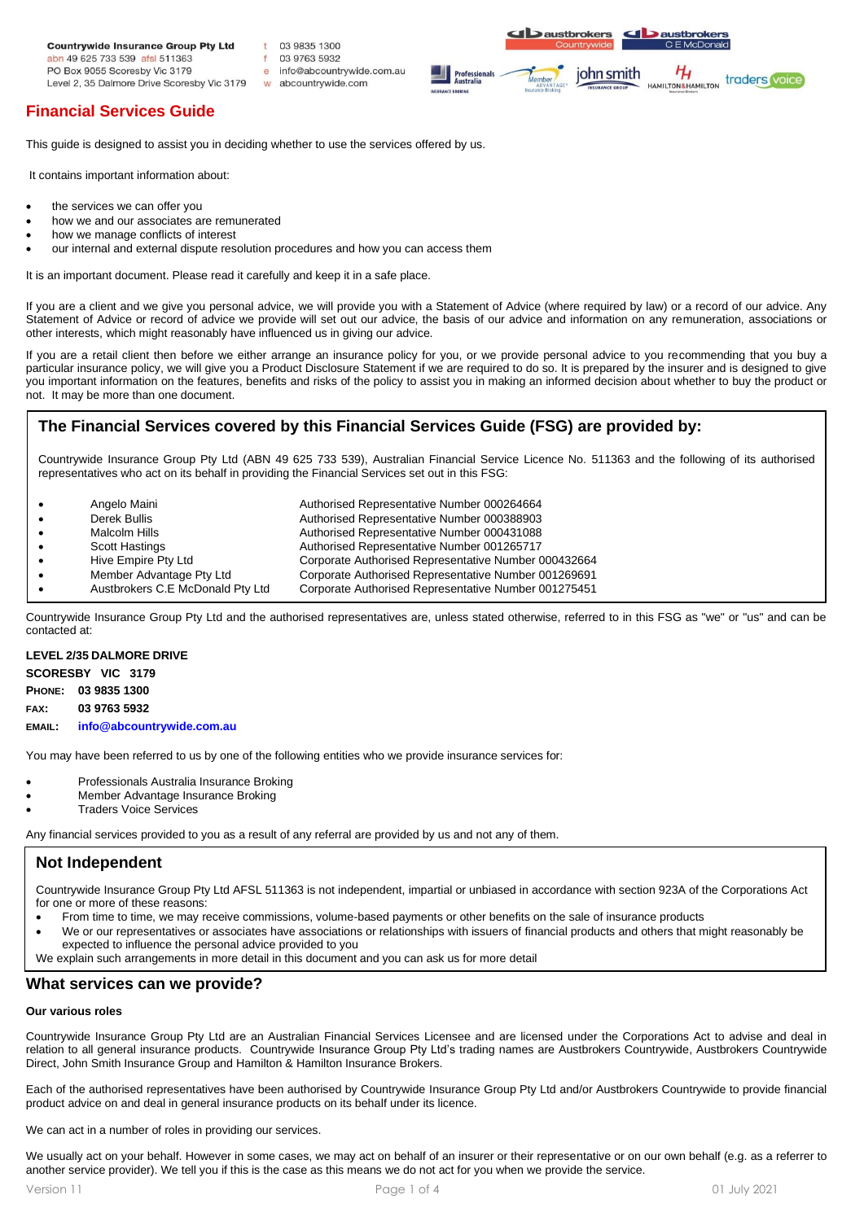#### **Countrywide Insurance Group Pty Ltd**

abn 49 625 733 539 afsl 511363 PO Box 9055 Scoresby Vic 3179 Level 2, 35 Dalmore Drive Scoresby Vic 3179

# **Financial Services Guide**

This guide is designed to assist you in deciding whether to use the services offered by us.

 $f$ 

 $\theta$ 

03 9835 1300

03 9763 5932

w abcountrywide.com

info@abcountrywide.com.au

It contains important information about:

- the services we can offer you
- how we and our associates are remunerated
- how we manage conflicts of interest
- our internal and external dispute resolution procedures and how you can access them

It is an important document. Please read it carefully and keep it in a safe place.

If you are a client and we give you personal advice, we will provide you with a Statement of Advice (where required by law) or a record of our advice. Any Statement of Advice or record of advice we provide will set out our advice, the basis of our advice and information on any remuneration, associations or other interests, which might reasonably have influenced us in giving our advice.

If you are a retail client then before we either arrange an insurance policy for you, or we provide personal advice to you recommending that you buy a particular insurance policy, we will give you a Product Disclosure Statement if we are required to do so. It is prepared by the insurer and is designed to give you important information on the features, benefits and risks of the policy to assist you in making an informed decision about whether to buy the product or not. It may be more than one document.

# **The Financial Services covered by this Financial Services Guide (FSG) are provided by:**

Countrywide Insurance Group Pty Ltd (ABN 49 625 733 539), Australian Financial Service Licence No. 511363 and the following of its authorised representatives who act on its behalf in providing the Financial Services set out in this FSG:

| $\bullet$ | Angelo Maini                     | Authorised Representative Number 000264664           |
|-----------|----------------------------------|------------------------------------------------------|
| $\bullet$ | Derek Bullis                     | Authorised Representative Number 000388903           |
| $\bullet$ | Malcolm Hills                    | Authorised Representative Number 000431088           |
| $\bullet$ | <b>Scott Hastings</b>            | Authorised Representative Number 001265717           |
| $\bullet$ | Hive Empire Pty Ltd              | Corporate Authorised Representative Number 000432664 |
| $\bullet$ | Member Advantage Pty Ltd         | Corporate Authorised Representative Number 001269691 |
|           | Austbrokers C.E McDonald Pty Ltd | Corporate Authorised Representative Number 001275451 |

Countrywide Insurance Group Pty Ltd and the authorised representatives are, unless stated otherwise, referred to in this FSG as "we" or "us" and can be contacted at:

### **LEVEL 2/35 DALMORE DRIVE**

**SCORESBY VIC 3179**

#### **PHONE: 03 9835 1300**

**FAX: 03 9763 5932**

**EMAIL: info@abcountrywide.com.au**

You may have been referred to us by one of the following entities who we provide insurance services for:

- Professionals Australia Insurance Broking
- Member Advantage Insurance Broking
- **Traders Voice Services**

Any financial services provided to you as a result of any referral are provided by us and not any of them.

# **Not Independent**

Countrywide Insurance Group Pty Ltd AFSL 511363 is not independent, impartial or unbiased in accordance with section 923A of the Corporations Act for one or more of these reasons:

- From time to time, we may receive commissions, volume-based payments or other benefits on the sale of insurance products
- We or our representatives or associates have associations or relationships with issuers of financial products and others that might reasonably be expected to influence the personal advice provided to you

We explain such arrangements in more detail in this document and you can ask us for more detail

# **What services can we provide?**

## **Our various roles**

Countrywide Insurance Group Pty Ltd are an Australian Financial Services Licensee and are licensed under the Corporations Act to advise and deal in relation to all general insurance products. Countrywide Insurance Group Pty Ltd's trading names are Austbrokers Countrywide, Austbrokers Countrywide Direct, John Smith Insurance Group and Hamilton & Hamilton Insurance Brokers.

Each of the authorised representatives have been authorised by Countrywide Insurance Group Pty Ltd and/or Austbrokers Countrywide to provide financial product advice on and deal in general insurance products on its behalf under its licence.

We can act in a number of roles in providing our services.

We usually act on your behalf. However in some cases, we may act on behalf of an insurer or their representative or on our own behalf (e.g. as a referrer to another service provider). We tell you if this is the case as this means we do not act for you when we provide the service.

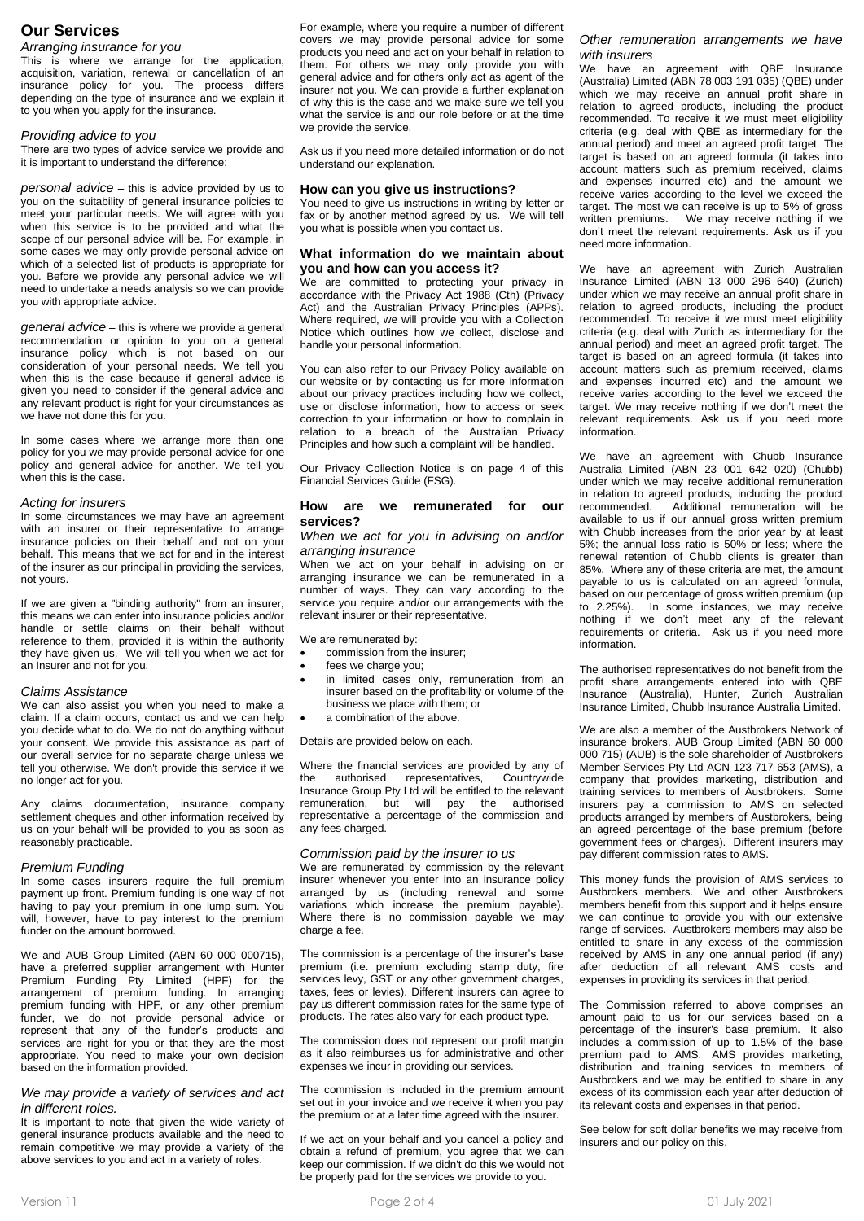# **Our Services**

## *Arranging insurance for you*

This is where we arrange for the application, acquisition, variation, renewal or cancellation of an insurance policy for you. The process differs depending on the type of insurance and we explain it to you when you apply for the insurance.

# *Providing advice to you*

There are two types of advice service we provide and it is important to understand the difference:

*personal advice* – this is advice provided by us to you on the suitability of general insurance policies to meet your particular needs. We will agree with you when this service is to be provided and what the scope of our personal advice will be. For example, in some cases we may only provide personal advice on which of a selected list of products is appropriate for you. Before we provide any personal advice we will need to undertake a needs analysis so we can provide you with appropriate advice.

*general advice* – this is where we provide a general recommendation or opinion to you on a general insurance policy which is not based on our consideration of your personal needs. We tell you when this is the case because if general advice is given you need to consider if the general advice and any relevant product is right for your circumstances as we have not done this for you.

In some cases where we arrange more than one policy for you we may provide personal advice for one policy and general advice for another. We tell you when this is the case.

### *Acting for insurers*

In some circumstances we may have an agreement with an insurer or their representative to arrange insurance policies on their behalf and not on your behalf. This means that we act for and in the interest of the insurer as our principal in providing the services, not yours.

If we are given a "binding authority" from an insurer, this means we can enter into insurance policies and/or handle or settle claims on their behalf without reference to them, provided it is within the authority they have given us. We will tell you when we act for an Insurer and not for you.

## *Claims Assistance*

We can also assist you when you need to make a claim. If a claim occurs, contact us and we can help you decide what to do. We do not do anything without your consent. We provide this assistance as part of our overall service for no separate charge unless we tell you otherwise. We don't provide this service if we no longer act for you.

Any claims documentation, insurance company settlement cheques and other information received by us on your behalf will be provided to you as soon as reasonably practicable.

### *Premium Funding*

In some cases insurers require the full premium payment up front. Premium funding is one way of not having to pay your premium in one lump sum. You will, however, have to pay interest to the premium funder on the amount borrowed.

We and AUB Group Limited (ABN 60 000 000715), have a preferred supplier arrangement with Hunter Premium Funding Pty Limited (HPF) for the arrangement of premium funding. In arranging premium funding with HPF, or any other premium funder, we do not provide personal advice or represent that any of the funder's products and services are right for you or that they are the most appropriate. You need to make your own decision based on the information provided.

# *We may provide a variety of services and act in different roles.*

It is important to note that given the wide variety of general insurance products available and the need to remain competitive we may provide a variety of the above services to you and act in a variety of roles.

For example, where you require a number of different covers we may provide personal advice for some products you need and act on your behalf in relation to them. For others we may only provide you with general advice and for others only act as agent of the insurer not you. We can provide a further explanation of why this is the case and we make sure we tell you what the service is and our role before or at the time we provide the service.

Ask us if you need more detailed information or do not understand our explanation.

## **How can you give us instructions?**

You need to give us instructions in writing by letter or fax or by another method agreed by us. We will tell you what is possible when you contact us.

### **What information do we maintain about you and how can you access it?**

We are committed to protecting your privacy in accordance with the Privacy Act 1988 (Cth) (Privacy Act) and the Australian Privacy Principles (APPs). Where required, we will provide you with a Collection Notice which outlines how we collect, disclose and handle your personal information.

You can also refer to our Privacy Policy available on our website or by contacting us for more information about our privacy practices including how we collect, use or disclose information, how to access or seek correction to your information or how to complain in relation to a breach of the Australian Privacy Principles and how such a complaint will be handled.

Our Privacy Collection Notice is on page 4 of this Financial Services Guide (FSG).

### **How are we remunerated for our services?**

### *When we act for you in advising on and/or arranging insurance*

When we act on your behalf in advising on or arranging insurance we can be remunerated in a number of ways. They can vary according to the service you require and/or our arrangements with the relevant insurer or their representative.

We are remunerated by:

- commission from the insurer;
- fees we charge you;
- in limited cases only, remuneration from an insurer based on the profitability or volume of the business we place with them; or
- a combination of the above.

Details are provided below on each.

Where the financial services are provided by any of the authorised representatives, Countrywide Insurance Group Pty Ltd will be entitled to the relevant remuneration, but will pay the authorised representative a percentage of the commission and any fees charged.

## *Commission paid by the insurer to us*

We are remunerated by commission by the relevant insurer whenever you enter into an insurance policy arranged by us (including renewal and some variations which increase the premium payable). Where there is no commission payable we may charge a fee.

The commission is a percentage of the insurer's base premium (i.e. premium excluding stamp duty, fire services levy, GST or any other government charges, taxes, fees or levies). Different insurers can agree to pay us different commission rates for the same type of products. The rates also vary for each product type.

The commission does not represent our profit margin as it also reimburses us for administrative and other expenses we incur in providing our services.

The commission is included in the premium amount set out in your invoice and we receive it when you pay the premium or at a later time agreed with the insurer.

If we act on your behalf and you cancel a policy and obtain a refund of premium, you agree that we can keep our commission. If we didn't do this we would not be properly paid for the services we provide to you.

## *Other remuneration arrangements we have with insurers*

We have an agreement with QBE Insurance (Australia) Limited (ABN 78 003 191 035) (QBE) under which we may receive an annual profit share in relation to agreed products, including the product recommended. To receive it we must meet eligibility criteria (e.g. deal with QBE as intermediary for the annual period) and meet an agreed profit target. The target is based on an agreed formula (it takes into account matters such as premium received, claims and expenses incurred etc) and the amount we receive varies according to the level we exceed the target. The most we can receive is up to 5% of gross written premiums. We may receive nothing if we don't meet the relevant requirements. Ask us if you need more information.

We have an agreement with Zurich Australian Insurance Limited (ABN 13 000 296 640) (Zurich) under which we may receive an annual profit share in relation to agreed products, including the product recommended. To receive it we must meet eligibility criteria (e.g. deal with Zurich as intermediary for the annual period) and meet an agreed profit target. The target is based on an agreed formula (it takes into account matters such as premium received, claims and expenses incurred etc) and the amount we receive varies according to the level we exceed the target. We may receive nothing if we don't meet the relevant requirements. Ask us if you need more information.

We have an agreement with Chubb Insurance Australia Limited (ABN 23 001 642 020) (Chubb) under which we may receive additional remuneration in relation to agreed products, including the product recommended. Additional remuneration will be Additional remuneration will be available to us if our annual gross written premium with Chubb increases from the prior year by at least 5%; the annual loss ratio is 50% or less; where the renewal retention of Chubb clients is greater than 85%. Where any of these criteria are met, the amount payable to us is calculated on an agreed formula, based on our percentage of gross written premium (up to 2.25%). In some instances, we may receive nothing if we don't meet any of the relevant requirements or criteria. Ask us if you need more information.

The authorised representatives do not benefit from the profit share arrangements entered into with QBE Insurance (Australia), Hunter, Zurich Australian Insurance Limited, Chubb Insurance Australia Limited.

We are also a member of the Austbrokers Network of insurance brokers. AUB Group Limited (ABN 60 000 000 715) (AUB) is the sole shareholder of Austbrokers Member Services Pty Ltd ACN 123 717 653 (AMS), a company that provides marketing, distribution and training services to members of Austbrokers. Some insurers pay a commission to AMS on selected products arranged by members of Austbrokers, being an agreed percentage of the base premium (before government fees or charges). Different insurers may pay different commission rates to AMS.

This money funds the provision of AMS services to Austbrokers members. We and other Austbrokers members benefit from this support and it helps ensure we can continue to provide you with our extensive range of services. Austbrokers members may also be entitled to share in any excess of the commission received by AMS in any one annual period (if any) after deduction of all relevant AMS costs and expenses in providing its services in that period.

The Commission referred to above comprises an amount paid to us for our services based on a percentage of the insurer's base premium. It also includes a commission of up to 1.5% of the base premium paid to AMS. AMS provides marketing, distribution and training services to members of Austbrokers and we may be entitled to share in any excess of its commission each year after deduction of its relevant costs and expenses in that period.

See below for soft dollar benefits we may receive from insurers and our policy on this.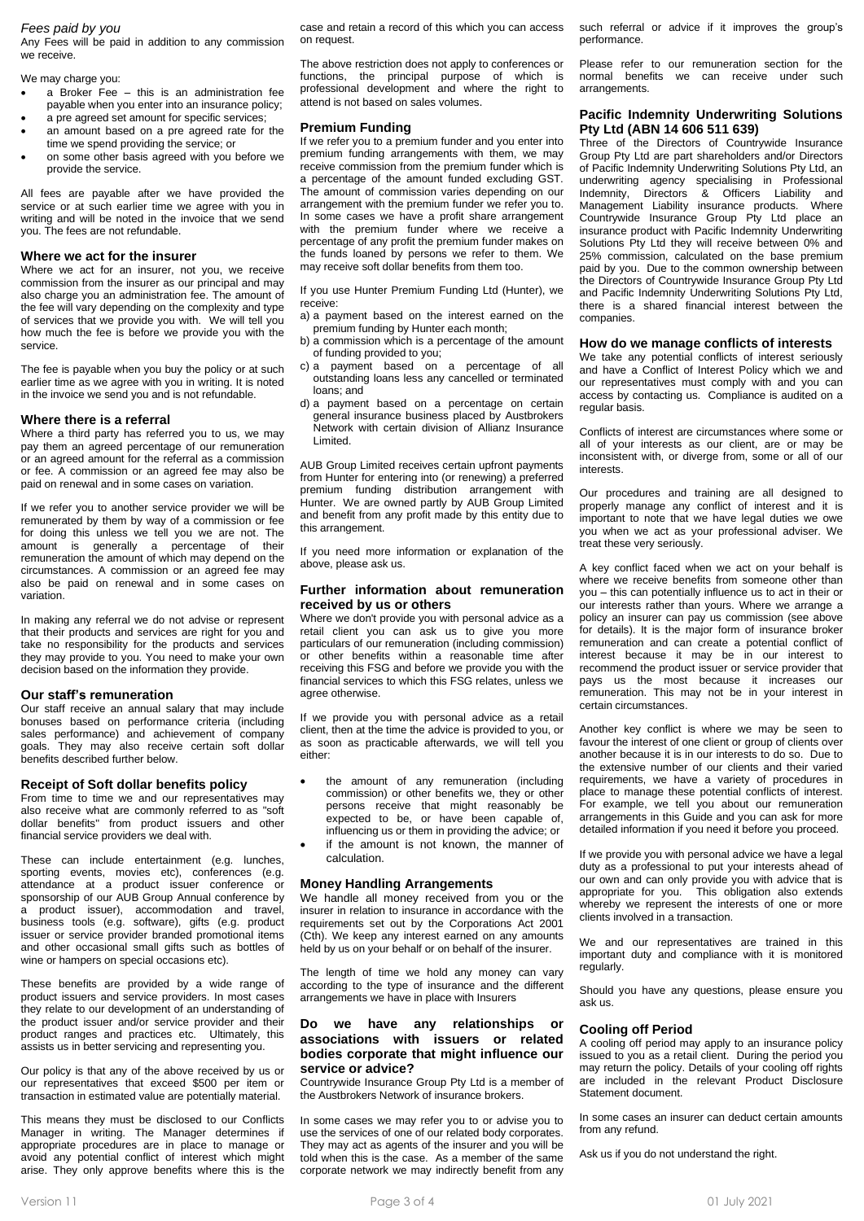### *Fees paid by you*

Any Fees will be paid in addition to any commission we receive.

We may charge you:

- $\overrightarrow{a}$  Broker Fee this is an administration fee payable when you enter into an insurance policy;
- a pre agreed set amount for specific services; an amount based on a pre agreed rate for the
- time we spend providing the service; or on some other basis agreed with you before we provide the service.

All fees are payable after we have provided the service or at such earlier time we agree with you in writing and will be noted in the invoice that we send you. The fees are not refundable.

#### **Where we act for the insurer**

Where we act for an insurer, not you, we receive commission from the insurer as our principal and may also charge you an administration fee. The amount of the fee will vary depending on the complexity and type of services that we provide you with. We will tell you how much the fee is before we provide you with the service.

The fee is payable when you buy the policy or at such earlier time as we agree with you in writing. It is noted in the invoice we send you and is not refundable.

#### **Where there is a referral**

Where a third party has referred you to us, we may pay them an agreed percentage of our remuneration or an agreed amount for the referral as a commission or fee. A commission or an agreed fee may also be paid on renewal and in some cases on variation.

If we refer you to another service provider we will be remunerated by them by way of a commission or fee for doing this unless we tell you we are not. The amount is generally a percentage of their remuneration the amount of which may depend on the circumstances. A commission or an agreed fee may also be paid on renewal and in some cases on variation.

In making any referral we do not advise or represent that their products and services are right for you and take no responsibility for the products and services they may provide to you. You need to make your own decision based on the information they provide.

#### **Our staff's remuneration**

Our staff receive an annual salary that may include bonuses based on performance criteria (including sales performance) and achievement of company goals. They may also receive certain soft dollar benefits described further below.

#### **Receipt of Soft dollar benefits policy**

From time to time we and our representatives may also receive what are commonly referred to as "soft dollar benefits" from product issuers and other financial service providers we deal with.

These can include entertainment (e.g. lunches, sporting events, movies etc), conferences (e.g. attendance at a product issuer conference or sponsorship of our AUB Group Annual conference by a product issuer), accommodation and travel, business tools (e.g. software), gifts (e.g. product issuer or service provider branded promotional items and other occasional small gifts such as bottles of wine or hampers on special occasions etc).

These benefits are provided by a wide range of product issuers and service providers. In most cases they relate to our development of an understanding of the product issuer and/or service provider and their product ranges and practices etc. Ultimately, this assists us in better servicing and representing you.

Our policy is that any of the above received by us or our representatives that exceed \$500 per item or transaction in estimated value are potentially material.

This means they must be disclosed to our Conflicts Manager in writing. The Manager determines if appropriate procedures are in place to manage or avoid any potential conflict of interest which might arise. They only approve benefits where this is the

case and retain a record of this which you can access on request.

The above restriction does not apply to conferences or functions, the principal purpose of which is professional development and where the right to attend is not based on sales volumes.

#### **Premium Funding**

If we refer you to a premium funder and you enter into premium funding arrangements with them, we may receive commission from the premium funder which is a percentage of the amount funded excluding GST. The amount of commission varies depending on our arrangement with the premium funder we refer you to. In some cases we have a profit share arrangement with the premium funder where we receive a percentage of any profit the premium funder makes on the funds loaned by persons we refer to them. We may receive soft dollar benefits from them too.

If you use Hunter Premium Funding Ltd (Hunter), we receive:

a) a payment based on the interest earned on the premium funding by Hunter each month;

- b) a commission which is a percentage of the amount of funding provided to you;
- c) a payment based on a percentage of all outstanding loans less any cancelled or terminated loans; and
- d) a payment based on a percentage on certain general insurance business placed by Austbrokers Network with certain division of Allianz Insurance Limited.

AUB Group Limited receives certain upfront payments from Hunter for entering into (or renewing) a preferred premium funding distribution arrangement with Hunter. We are owned partly by AUB Group Limited and benefit from any profit made by this entity due to this arrangement.

If you need more information or explanation of the above, please ask us.

#### **Further information about remuneration received by us or others**

Where we don't provide you with personal advice as a retail client you can ask us to give you more particulars of our remuneration (including commission) or other benefits within a reasonable time after receiving this FSG and before we provide you with the financial services to which this FSG relates, unless we agree otherwise.

If we provide you with personal advice as a retail client, then at the time the advice is provided to you, or as soon as practicable afterwards, we will tell you either:

- the amount of any remuneration (including commission) or other benefits we, they or other persons receive that might reasonably be expected to be, or have been capable of, influencing us or them in providing the advice; or if the amount is not known, the manner of
- calculation.

### **Money Handling Arrangements**

We handle all money received from you or the insurer in relation to insurance in accordance with the requirements set out by the Corporations Act 2001 (Cth). We keep any interest earned on any amounts held by us on your behalf or on behalf of the insurer.

The length of time we hold any money can vary according to the type of insurance and the different arrangements we have in place with Insurers

### **Do we have any relationships or associations with issuers or related bodies corporate that might influence our service or advice?**

Countrywide Insurance Group Pty Ltd is a member of the Austbrokers Network of insurance brokers.

In some cases we may refer you to or advise you to use the services of one of our related body corporates. They may act as agents of the insurer and you will be told when this is the case. As a member of the same corporate network we may indirectly benefit from any

such referral or advice if it improves the group's performance.

Please refer to our remuneration section for the normal benefits we can receive under such arrangements.

#### **Pacific Indemnity Underwriting Solutions Pty Ltd (ABN 14 606 511 639)**

Three of the Directors of Countrywide Insurance Group Pty Ltd are part shareholders and/or Directors of Pacific Indemnity Underwriting Solutions Pty Ltd, an underwriting agency specialising in Professional Indemnity, Directors & Officers Liability and Management Liability insurance products. Where Countrywide Insurance Group Pty Ltd place an insurance product with Pacific Indemnity Underwriting Solutions Pty Ltd they will receive between 0% and 25% commission, calculated on the base premium paid by you. Due to the common ownership between the Directors of Countrywide Insurance Group Pty Ltd and Pacific Indemnity Underwriting Solutions Pty Ltd, there is a shared financial interest between the companies.

# **How do we manage conflicts of interests**

We take any potential conflicts of interest seriously and have a Conflict of Interest Policy which we and our representatives must comply with and you can access by contacting us. Compliance is audited on a regular basis.

Conflicts of interest are circumstances where some or all of your interests as our client, are or may be inconsistent with, or diverge from, some or all of our interests.

Our procedures and training are all designed to properly manage any conflict of interest and it is important to note that we have legal duties we owe you when we act as your professional adviser. We treat these very seriously.

A key conflict faced when we act on your behalf is where we receive benefits from someone other than you – this can potentially influence us to act in their or our interests rather than yours. Where we arrange a policy an insurer can pay us commission (see above for details). It is the major form of insurance broker remuneration and can create a potential conflict of interest because it may be in our interest to recommend the product issuer or service provider that pays us the most because it increases our remuneration. This may not be in your interest in certain circumstances.

Another key conflict is where we may be seen to favour the interest of one client or group of clients over another because it is in our interests to do so. Due to the extensive number of our clients and their varied requirements, we have a variety of procedures in place to manage these potential conflicts of interest. For example, we tell you about our remuneration arrangements in this Guide and you can ask for more detailed information if you need it before you proceed.

If we provide you with personal advice we have a legal duty as a professional to put your interests ahead of our own and can only provide you with advice that is appropriate for you. This obligation also extends whereby we represent the interests of one or more clients involved in a transaction.

We and our representatives are trained in this important duty and compliance with it is monitored regularly.

Should you have any questions, please ensure you ask us.

#### **Cooling off Period**

A cooling off period may apply to an insurance policy issued to you as a retail client. During the period you may return the policy. Details of your cooling off rights are included in the relevant Product Disclosure Statement document.

In some cases an insurer can deduct certain amounts from any refund.

Ask us if you do not understand the right.